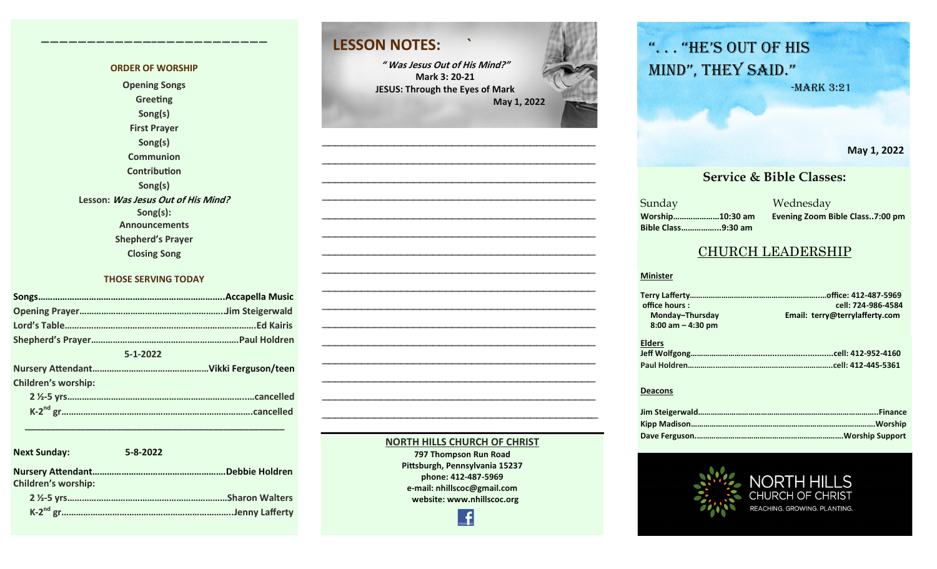#### **ORDER OF WORSHIP**

**————————————–————————————**

**Opening Songs Greeting Song(s) First Prayer Song(s) Communion Contribution Song(s) Lesson: Was Jesus Out of His Mind? Song(s): Announcements Shepherd's Prayer Closing Song**

#### **THOSE SERVING TODAY**

| $5 - 1 - 2022$             |  |
|----------------------------|--|
|                            |  |
| <b>Children's worship:</b> |  |
|                            |  |
|                            |  |

 **\_\_\_\_\_\_\_\_\_\_\_\_\_\_\_\_\_\_\_\_\_\_\_\_\_\_\_\_\_\_\_\_\_\_\_\_\_\_\_\_\_\_\_\_\_\_\_\_\_\_\_**

| <b>Next Sunday:</b>        | $5 - 8 - 2022$ |
|----------------------------|----------------|
| <b>Children's worship:</b> |                |
|                            |                |
|                            |                |

#### **LESSON NOTES: `**

**" Was Jesus Out of His Mind?" Mark 3: 20-21 JESUS: Through the Eyes of Mark May 1, 2022**

#### **NORTH HILLS CHURCH OF CHRIST**

**797 Thompson Run Road Pittsburgh, Pennsylvania 15237 phone: 412-487-5969 e-mail: nhillscoc@gmail.com website: www.nhillscoc.org** 

王

# **APRIL 2008 19 SOLUT OF HIS** MIND", THEY SAID."

-Mark 3:21

#### **June 20, 2021 July 18, 2021 October 17, 2021 February 6,2022 February 20, 2022 March 20, 2022 March 6, 2022 March 27, 2022 April 3, 2022 April 10, 2022 May 1, 2022**

**May 17, 2020**

**March 7, 2021**

**December 6, 2020**

#### **September 24, 2017 October 8, 2017 October 15, 2017 October 8, 2017 October 22, 2017 December 10, 2017 December 24, 2017 January 7, 2017 January 7, 2017 February 21, 2021 March 2021 March 2021**

**Sunday Bible Class……………...9:30 am**

**October 29, 2017 November 5, 2017 November 12, 2017 November 26, 2017** a Mednesday<br>Sunday Mednesday **Worship…………………10:30 am Evening Zoom Bible Class..7:00 pm**

#### CHURCH LEADERSHIP

#### **Minister**

| office hours:        | cell: 724-986-4584             |
|----------------------|--------------------------------|
| Monday-Thursday      | Email: terry@terrylafferty.com |
| $8:00$ am $-4:30$ pm |                                |
|                      |                                |
| <b>Elders</b>        |                                |
|                      |                                |
|                      |                                |
|                      |                                |

#### **Deacons**